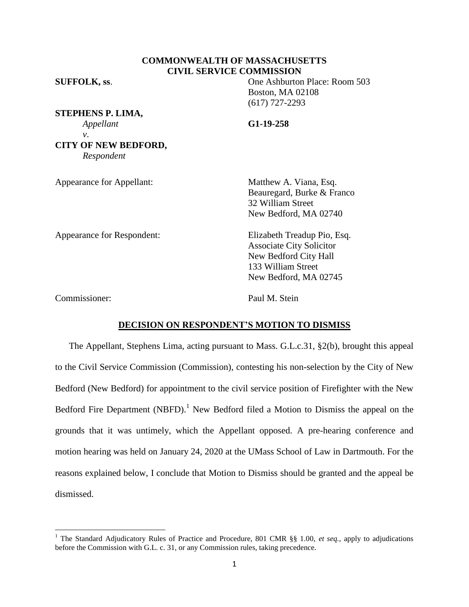# **COMMONWEALTH OF MASSACHUSETTS CIVIL SERVICE COMMISSION**

**SUFFOLK, ss**. One Ashburton Place: Room 503

Boston, MA 02108 (617) 727-2293 *Appellant* **G1-19-258**

**STEPHENS P. LIMA,** *v*. **CITY OF NEW BEDFORD,** *Respondent*

| <b>Appearance for Appellant:</b> | Matthew A. Viana, Esq.<br>Beauregard, Burke & Franco<br>32 William Street<br>New Bedford, MA 02740                                     |
|----------------------------------|----------------------------------------------------------------------------------------------------------------------------------------|
| Appearance for Respondent:       | Elizabeth Treadup Pio, Esq.<br><b>Associate City Solicitor</b><br>New Bedford City Hall<br>133 William Street<br>New Bedford, MA 02745 |

Commissioner: Paul M. Stein

 $\overline{\phantom{a}}$ 

## **DECISION ON RESPONDENT'S MOTION TO DISMISS**

The Appellant, Stephens Lima, acting pursuant to Mass. G.L.c.31, §2(b), brought this appeal to the Civil Service Commission (Commission), contesting his non-selection by the City of New Bedford (New Bedford) for appointment to the civil service position of Firefighter with the New Bedford Fire Department (NBFD).<sup>1</sup> New Bedford filed a Motion to Dismiss the appeal on the grounds that it was untimely, which the Appellant opposed. A pre-hearing conference and motion hearing was held on January 24, 2020 at the UMass School of Law in Dartmouth. For the reasons explained below, I conclude that Motion to Dismiss should be granted and the appeal be dismissed.

<sup>1</sup> The Standard Adjudicatory Rules of Practice and Procedure, 801 CMR §§ 1.00, *et seq.*, apply to adjudications before the Commission with G.L. c. 31, or any Commission rules, taking precedence.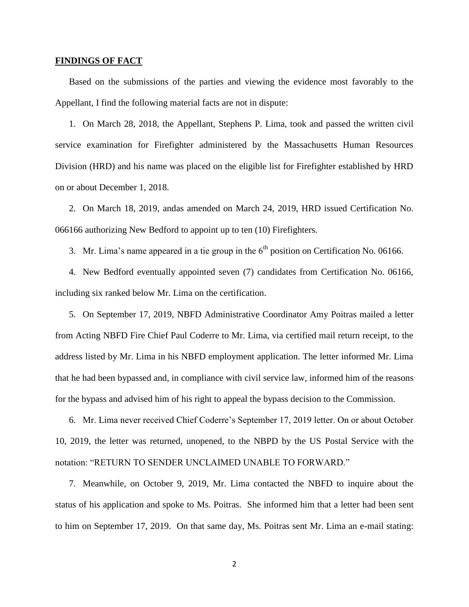#### **FINDINGS OF FACT**

Based on the submissions of the parties and viewing the evidence most favorably to the Appellant, I find the following material facts are not in dispute:

1. On March 28, 2018, the Appellant, Stephens P. Lima, took and passed the written civil service examination for Firefighter administered by the Massachusetts Human Resources Division (HRD) and his name was placed on the eligible list for Firefighter established by HRD on or about December 1, 2018.

2. On March 18, 2019, andas amended on March 24, 2019, HRD issued Certification No. 066166 authorizing New Bedford to appoint up to ten (10) Firefighters.

3. Mr. Lima's name appeared in a tie group in the  $6<sup>th</sup>$  position on Certification No. 06166.

4. New Bedford eventually appointed seven (7) candidates from Certification No. 06166, including six ranked below Mr. Lima on the certification.

5. On September 17, 2019, NBFD Administrative Coordinator Amy Poitras mailed a letter from Acting NBFD Fire Chief Paul Coderre to Mr. Lima, via certified mail return receipt, to the address listed by Mr. Lima in his NBFD employment application. The letter informed Mr. Lima that he had been bypassed and, in compliance with civil service law, informed him of the reasons for the bypass and advised him of his right to appeal the bypass decision to the Commission.

6. Mr. Lima never received Chief Coderre's September 17, 2019 letter. On or about October 10, 2019, the letter was returned, unopened, to the NBPD by the US Postal Service with the notation: "RETURN TO SENDER UNCLAIMED UNABLE TO FORWARD."

7. Meanwhile, on October 9, 2019, Mr. Lima contacted the NBFD to inquire about the status of his application and spoke to Ms. Poitras. She informed him that a letter had been sent to him on September 17, 2019. On that same day, Ms. Poitras sent Mr. Lima an e-mail stating:

2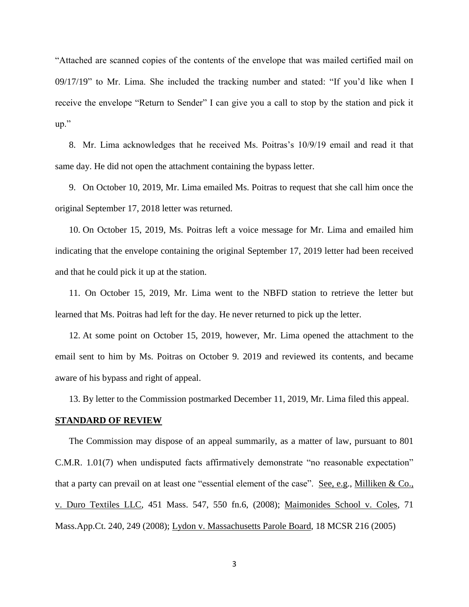"Attached are scanned copies of the contents of the envelope that was mailed certified mail on 09/17/19" to Mr. Lima. She included the tracking number and stated: "If you'd like when I receive the envelope "Return to Sender" I can give you a call to stop by the station and pick it up."

8. Mr. Lima acknowledges that he received Ms. Poitras's 10/9/19 email and read it that same day. He did not open the attachment containing the bypass letter.

9. On October 10, 2019, Mr. Lima emailed Ms. Poitras to request that she call him once the original September 17, 2018 letter was returned.

10. On October 15, 2019, Ms. Poitras left a voice message for Mr. Lima and emailed him indicating that the envelope containing the original September 17, 2019 letter had been received and that he could pick it up at the station.

11. On October 15, 2019, Mr. Lima went to the NBFD station to retrieve the letter but learned that Ms. Poitras had left for the day. He never returned to pick up the letter.

12. At some point on October 15, 2019, however, Mr. Lima opened the attachment to the email sent to him by Ms. Poitras on October 9. 2019 and reviewed its contents, and became aware of his bypass and right of appeal.

13. By letter to the Commission postmarked December 11, 2019, Mr. Lima filed this appeal.

## **STANDARD OF REVIEW**

The Commission may dispose of an appeal summarily, as a matter of law, pursuant to 801 C.M.R. 1.01(7) when undisputed facts affirmatively demonstrate "no reasonable expectation" that a party can prevail on at least one "essential element of the case". See, e.g., Milliken  $& Co.,$ v. Duro Textiles LLC, 451 Mass. 547, 550 fn.6, (2008); Maimonides School v. Coles, 71 Mass.App.Ct. 240, 249 (2008); Lydon v. Massachusetts Parole Board, 18 MCSR 216 (2005)

3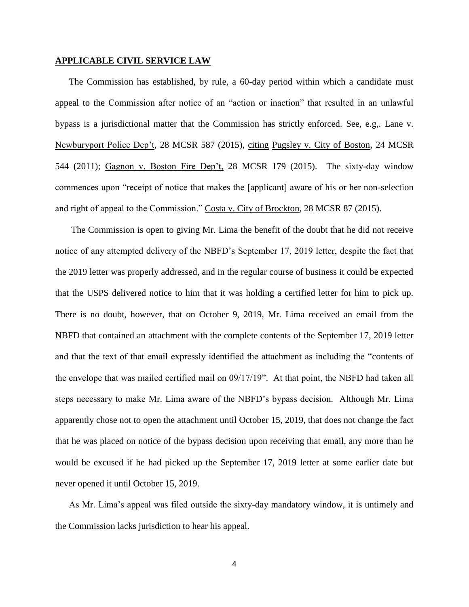#### **APPLICABLE CIVIL SERVICE LAW**

The Commission has established, by rule, a 60-day period within which a candidate must appeal to the Commission after notice of an "action or inaction" that resulted in an unlawful bypass is a jurisdictional matter that the Commission has strictly enforced. See, e.g,. Lane v. Newburyport Police Dep't, 28 MCSR 587 (2015), citing Pugsley v. City of Boston, 24 MCSR 544 (2011); Gagnon v. Boston Fire Dep't, 28 MCSR 179 (2015). The sixty-day window commences upon "receipt of notice that makes the [applicant] aware of his or her non-selection and right of appeal to the Commission." Costa v. City of Brockton, 28 MCSR 87 (2015).

The Commission is open to giving Mr. Lima the benefit of the doubt that he did not receive notice of any attempted delivery of the NBFD's September 17, 2019 letter, despite the fact that the 2019 letter was properly addressed, and in the regular course of business it could be expected that the USPS delivered notice to him that it was holding a certified letter for him to pick up. There is no doubt, however, that on October 9, 2019, Mr. Lima received an email from the NBFD that contained an attachment with the complete contents of the September 17, 2019 letter and that the text of that email expressly identified the attachment as including the "contents of the envelope that was mailed certified mail on 09/17/19". At that point, the NBFD had taken all steps necessary to make Mr. Lima aware of the NBFD's bypass decision. Although Mr. Lima apparently chose not to open the attachment until October 15, 2019, that does not change the fact that he was placed on notice of the bypass decision upon receiving that email, any more than he would be excused if he had picked up the September 17, 2019 letter at some earlier date but never opened it until October 15, 2019.

As Mr. Lima's appeal was filed outside the sixty-day mandatory window, it is untimely and the Commission lacks jurisdiction to hear his appeal.